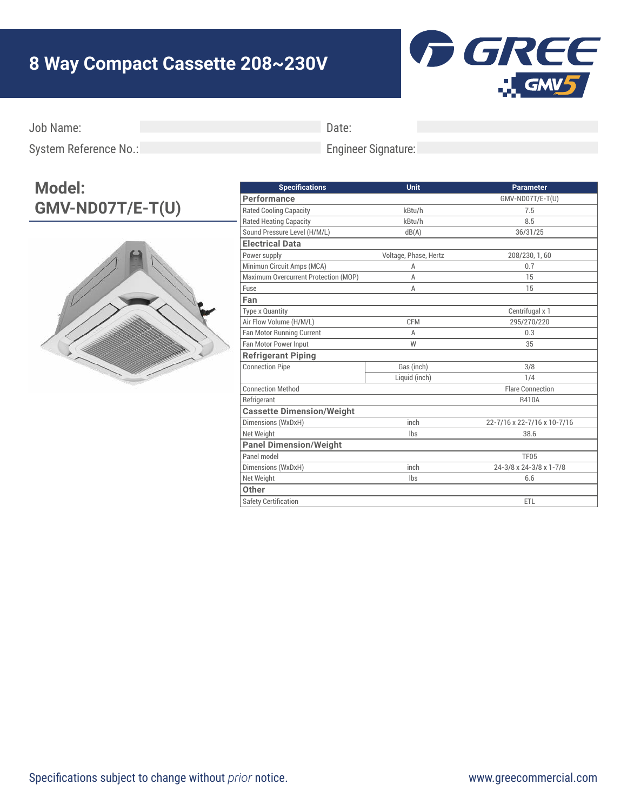## **8 Way Compact Cassette 208~230V**



Job Name:

Date:

System Reference No.:

## Engineer Signature:

## **Model: GMV-ND07T/E-T(U)**



| GMV-ND07T/E-T(U)<br>Performance<br><b>Rated Cooling Capacity</b><br>kBtu/h<br>7.5<br><b>Rated Heating Capacity</b><br>kBtu/h<br>8.5<br>Sound Pressure Level (H/M/L)<br>dB(A)<br>36/31/25<br><b>Electrical Data</b><br>Power supply<br>Voltage, Phase, Hertz<br>208/230, 1, 60<br>Minimun Circuit Amps (MCA)<br>0.7<br>A |
|-------------------------------------------------------------------------------------------------------------------------------------------------------------------------------------------------------------------------------------------------------------------------------------------------------------------------|
|                                                                                                                                                                                                                                                                                                                         |
|                                                                                                                                                                                                                                                                                                                         |
|                                                                                                                                                                                                                                                                                                                         |
|                                                                                                                                                                                                                                                                                                                         |
|                                                                                                                                                                                                                                                                                                                         |
|                                                                                                                                                                                                                                                                                                                         |
|                                                                                                                                                                                                                                                                                                                         |
| Maximum Overcurrent Protection (MOP)<br>15<br>A                                                                                                                                                                                                                                                                         |
| Fuse<br>15<br>A                                                                                                                                                                                                                                                                                                         |
| Fan                                                                                                                                                                                                                                                                                                                     |
| Type x Quantity<br>Centrifugal x 1                                                                                                                                                                                                                                                                                      |
| Air Flow Volume (H/M/L)<br><b>CFM</b><br>295/270/220                                                                                                                                                                                                                                                                    |
| Fan Motor Running Current<br>0.3<br>A                                                                                                                                                                                                                                                                                   |
| Fan Motor Power Input<br>W<br>35                                                                                                                                                                                                                                                                                        |
| <b>Refrigerant Piping</b>                                                                                                                                                                                                                                                                                               |
| <b>Connection Pipe</b><br>Gas (inch)<br>3/8                                                                                                                                                                                                                                                                             |
| Liquid (inch)<br>1/4                                                                                                                                                                                                                                                                                                    |
| <b>Connection Method</b><br><b>Flare Connection</b>                                                                                                                                                                                                                                                                     |
| Refrigerant<br>R410A                                                                                                                                                                                                                                                                                                    |
| <b>Cassette Dimension/Weight</b>                                                                                                                                                                                                                                                                                        |
| inch<br>Dimensions (WxDxH)<br>22-7/16 x 22-7/16 x 10-7/16                                                                                                                                                                                                                                                               |
| Net Weight<br>lbs<br>38.6                                                                                                                                                                                                                                                                                               |
| <b>Panel Dimension/Weight</b>                                                                                                                                                                                                                                                                                           |
| Panel model<br>TF05                                                                                                                                                                                                                                                                                                     |
| Dimensions (WxDxH)<br>inch<br>24-3/8 x 24-3/8 x 1-7/8                                                                                                                                                                                                                                                                   |
| Net Weight<br>lbs<br>6.6                                                                                                                                                                                                                                                                                                |
| Other                                                                                                                                                                                                                                                                                                                   |
| <b>Safety Certification</b><br><b>ETL</b>                                                                                                                                                                                                                                                                               |